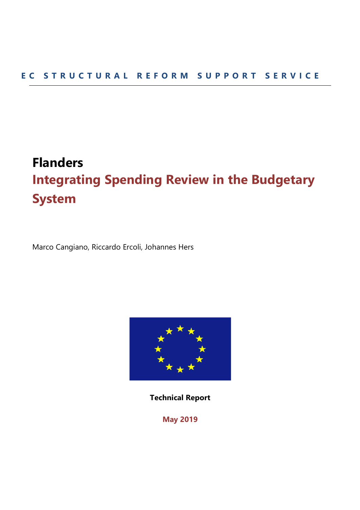# **Flanders Integrating Spending Review in the Budgetary System**

Marco Cangiano, Riccardo Ercoli, Johannes Hers



**Technical Report** 

**May 2019**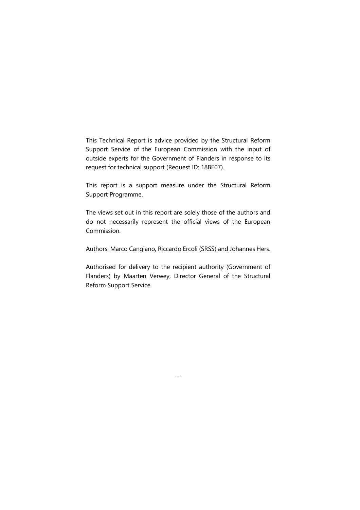This Technical Report is advice provided by the Structural Reform Support Service of the European Commission with the input of outside experts for the Government of Flanders in response to its request for technical support (Request ID: 18BE07).

This report is a support measure under the Structural Reform Support Programme.

The views set out in this report are solely those of the authors and do not necessarily represent the official views of the European Commission.

Authors: Marco Cangiano, Riccardo Ercoli (SRSS) and Johannes Hers.

Authorised for delivery to the recipient authority (Government of Flanders) by Maarten Verwey, Director General of the Structural Reform Support Service.

---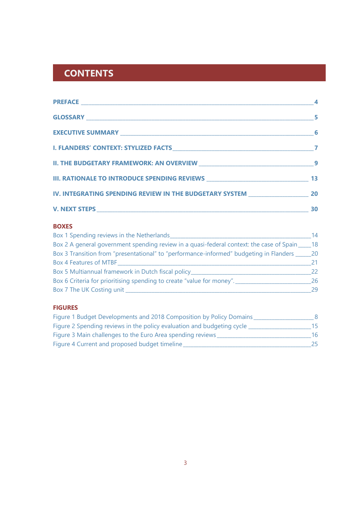## **CONTENTS**

|                                                                                          | 5        |
|------------------------------------------------------------------------------------------|----------|
|                                                                                          | $\sim$ 6 |
|                                                                                          |          |
| II. THE BUDGETARY FRAMEWORK: AN OVERVIEW MARKET AND THE BUDGETARY FRAMEWORK: AN OVERVIEW |          |
| III. RATIONALE TO INTRODUCE SPENDING REVIEWS ___________________________________ 13      |          |
| IV. INTEGRATING SPENDING REVIEW IN THE BUDGETARY SYSTEM ________________________ 20      |          |
|                                                                                          | 30       |

## **BOXES**

| Box 1 Spending reviews in the Netherlands                                                         | 14   |
|---------------------------------------------------------------------------------------------------|------|
| Box 2 A general government spending review in a quasi-federal context: the case of Spain _____ 18 |      |
| Box 3 Transition from "presentational" to "performance-informed" budgeting in Flanders ___        | - 20 |
| Box 4 Features of MTBF                                                                            | 21.  |
| Box 5 Multiannual framework in Dutch fiscal policy                                                | 22   |
| Box 6 Criteria for prioritising spending to create "value for money".                             | 26   |
| Box 7 The UK Costing unit                                                                         | 29   |

## **FIGURES**

| Figure 1 Budget Developments and 2018 Composition by Policy Domains    |     |
|------------------------------------------------------------------------|-----|
| Figure 2 Spending reviews in the policy evaluation and budgeting cycle | 15. |
| Figure 3 Main challenges to the Euro Area spending reviews             | 16  |
| Figure 4 Current and proposed budget timeline                          | 25. |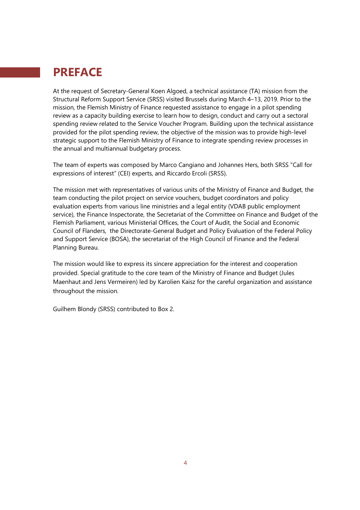## **PREFACE**

At the request of Secretary-General Koen Algoed, a technical assistance (TA) mission from the Structural Reform Support Service (SRSS) visited Brussels during March 4-13, 2019. Prior to the mission, the Flemish Ministry of Finance requested assistance to engage in a pilot spending review as a capacity building exercise to learn how to design, conduct and carry out a sectoral spending review related to the Service Voucher Program. Building upon the technical assistance provided for the pilot spending review, the objective of the mission was to provide high-level strategic support to the Flemish Ministry of Finance to integrate spending review processes in the annual and multiannual budgetary process.

The team of experts was composed by Marco Cangiano and Johannes Hers, both SRSS "Call for expressions of interest" (CEI) experts, and Riccardo Ercoli (SRSS).

The mission met with representatives of various units of the Ministry of Finance and Budget, the team conducting the pilot project on service vouchers, budget coordinators and policy evaluation experts from various line ministries and a legal entity (VDAB public employment service), the Finance Inspectorate, the Secretariat of the Committee on Finance and Budget of the Flemish Parliament, various Ministerial Offices, the Court of Audit, the Social and Economic Council of Flanders, the Directorate-General Budget and Policy Evaluation of the Federal Policy and Support Service (BOSA), the secretariat of the High Council of Finance and the Federal Planning Bureau.

The mission would like to express its sincere appreciation for the interest and cooperation provided. Special gratitude to the core team of the Ministry of Finance and Budget (Jules Maenhaut and Jens Vermeiren) led by Karolien Kaisz for the careful organization and assistance throughout the mission.

Guilhem Blondy (SRSS) contributed to Box 2.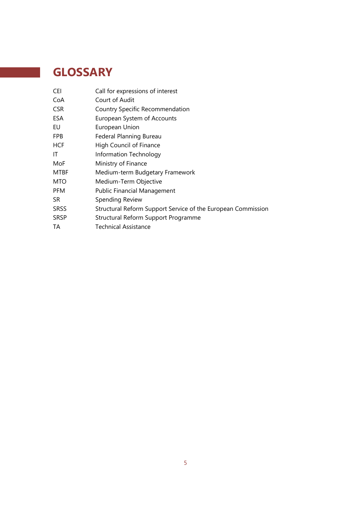## **GLOSSARY**

a sa salawan

| Call for expressions of interest                             |
|--------------------------------------------------------------|
| Court of Audit                                               |
| <b>Country Specific Recommendation</b>                       |
| European System of Accounts                                  |
| European Union                                               |
| Federal Planning Bureau                                      |
| High Council of Finance                                      |
| Information Technology                                       |
| Ministry of Finance                                          |
| Medium-term Budgetary Framework                              |
| Medium-Term Objective                                        |
| <b>Public Financial Management</b>                           |
| Spending Review                                              |
| Structural Reform Support Service of the European Commission |
| Structural Reform Support Programme                          |
| <b>Technical Assistance</b>                                  |
|                                                              |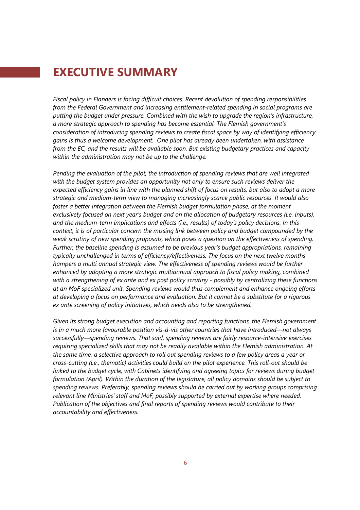## **EXECUTIVE SUMMARY**

*Fiscal policy in Flanders is facing difficult choices. Recent devolution of spending responsibilities from the Federal Government and increasing entitlement-related spending in social programs are putting the budget under pressure. Combined with the wish to upgrade the region's infrastructure, a more strategic approach to spending has become essential. The Flemish government's consideration of introducing spending reviews to create fiscal space by way of identifying efficiency gains is thus a welcome development. One pilot has already been undertaken, with assistance from the EC, and the results will be available soon. But existing budgetary practices and capacity within the administration may not be up to the challenge.* 

*Pending the evaluation of the pilot, the introduction of spending reviews that are well integrated with the budget system provides an opportunity not only to ensure such reviews deliver the expected efficiency gains in line with the planned shift of focus on results, but also to adopt a more strategic and medium-term view to managing increasingly scarce public resources. It would also foster a better integration between the Flemish budget formulation phase, at the moment exclusively focused on next year's budget and on the allocation of budgetary resources (i.e. inputs), and the medium-term implications and effects (i.e., results) of today's policy decisions. In this context, it is of particular concern the missing link between policy and budget compounded by the weak scrutiny of new spending proposals, which poses a question on the effectiveness of spending. Further, the baseline spending is assumed to be previous year's budget appropriations, remaining typically unchallenged in terms of efficiency/effectiveness. The focus on the next twelve months hampers a multi annual strategic view. The effectiveness of spending reviews would be further enhanced by adopting a more strategic multiannual approach to fiscal policy making, combined with a strengthening of ex ante and ex post policy scrutiny - possibly by centralizing these functions at an MoF specialized unit. Spending reviews would thus complement and enhance ongoing efforts at developing a focus on performance and evaluation. But it cannot be a substitute for a rigorous ex ante screening of policy initiatives, which needs also to be strengthened.* 

*Given its strong budget execution and accounting and reporting functions, the Flemish government is in a much more favourable position vis-à-vis other countries that have introduced—not always successfully—spending reviews. That said, spending reviews are fairly resource-intensive exercises requiring specialized skills that may not be readily available within the Flemish administration. At the same time, a selective approach to roll out spending reviews to a few policy areas a year or cross-cutting (i.e., thematic) activities could build on the pilot experience. This roll-out should be linked to the budget cycle, with Cabinets identifying and agreeing topics for reviews during budget formulation (April). Within the duration of the legislature, all policy domains should be subject to spending reviews. Preferably, spending reviews should be carried out by working groups comprising relevant line Ministries' staff and MoF, possibly supported by external expertise where needed. Publication of the objectives and final reports of spending reviews would contribute to their accountability and effectiveness.*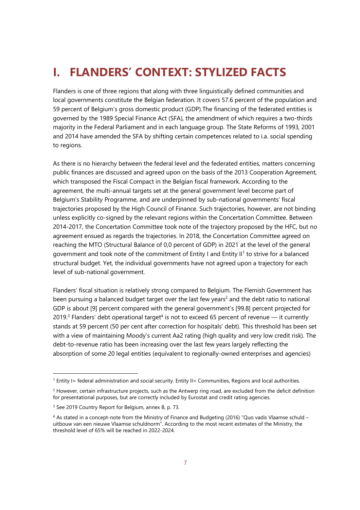## **I. FLANDERS' CONTEXT: STYLIZED FACTS**

Flanders is one of three regions that along with three linguistically defined communities and local governments constitute the Belgian federation. It covers 57.6 percent of the population and 59 percent of Belgium's gross domestic product (GDP).The financing of the federated entities is governed by the 1989 Special Finance Act (SFA), the amendment of which requires a two-thirds majority in the Federal Parliament and in each language group. The State Reforms of 1993, 2001 and 2014 have amended the SFA by shifting certain competences related to i.a. social spending to regions.

As there is no hierarchy between the federal level and the federated entities, matters concerning public finances are discussed and agreed upon on the basis of the 2013 Cooperation Agreement, which transposed the Fiscal Compact in the Belgian fiscal framework. According to the agreement, the multi-annual targets set at the general government level become part of Belgium's Stability Programme, and are underpinned by sub-national governments' fiscal trajectories proposed by the High Council of Finance. Such trajectories, however, are not binding unless explicitly co-signed by the relevant regions within the Concertation Committee. Between 2014-2017, the Concertation Committee took note of the trajectory proposed by the HFC, but no agreement ensued as regards the trajectories. In 2018, the Concertation Committee agreed on reaching the MTO (Structural Balance of 0,0 percent of GDP) in 2021 at the level of the general government and took note of the commitment of Entity I and Entity II<sup>1</sup> to strive for a balanced structural budget. Yet, the individual governments have not agreed upon a trajectory for each level of sub-national government.

Flanders' fiscal situation is relatively strong compared to Belgium. The Flemish Government has been pursuing a balanced budget target over the last few years<sup>2</sup> and the debt ratio to national GDP is about [9] percent compared with the general government's [99.8] percent projected for 2019.<sup>3</sup> Flanders' debt operational target<sup>4</sup> is not to exceed 65 percent of revenue — it currently stands at 59 percent (50 per cent after correction for hospitals' debt). This threshold has been set with a view of maintaining Moody's current Aa2 rating (high quality and very low credit risk). The debt-to-revenue ratio has been increasing over the last few years largely reflecting the absorption of some 20 legal entities (equivalent to regionally-owned enterprises and agencies)

<sup>&</sup>lt;sup>1</sup> Entity I= federal administration and social security. Entity II= Communities, Regions and local authorities.

 $^2$  However, certain infrastructure projects, such as the Antwerp ring road, are excluded from the deficit definition for presentational purposes, but are correctly included by Eurostat and credit rating agencies.

<sup>3</sup> See 2019 Country Report for Belgium, annex B, p. 73.

<sup>4</sup> As stated in a concept-note from the Ministry of Finance and Budgeting (2016) "Quo vadis Vlaamse schuld – uitbouw van een nieuwe Vlaamse schuldnorm". According to the most recent estimates of the Ministry, the threshold level of 65% will be reached in 2022-2024.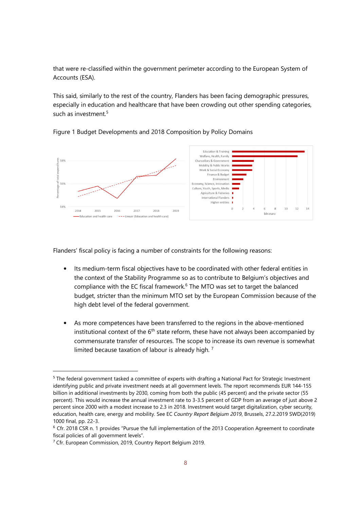that were re-classified within the government perimeter according to the European System of Accounts (ESA).

This said, similarly to the rest of the country, Flanders has been facing demographic pressures, especially in education and healthcare that have been crowding out other spending categories, such as investment.<sup>5</sup>



Figure 1 Budget Developments and 2018 Composition by Policy Domains

Flanders' fiscal policy is facing a number of constraints for the following reasons:

- Its medium-term fiscal objectives have to be coordinated with other federal entities in the context of the Stability Programme so as to contribute to Belgium's objectives and compliance with the EC fiscal framework.<sup>6</sup> The MTO was set to target the balanced budget, stricter than the minimum MTO set by the European Commission because of the high debt level of the federal government.
- As more competences have been transferred to the regions in the above-mentioned institutional context of the  $6<sup>th</sup>$  state reform, these have not always been accompanied by commensurate transfer of resources. The scope to increase its own revenue is somewhat limited because taxation of labour is already high.<sup>7</sup>

<sup>5</sup> The federal government tasked a committee of experts with drafting a National Pact for Strategic Investment identifying public and private investment needs at all government levels. The report recommends EUR 144-155 billion in additional investments by 2030, coming from both the public (45 percent) and the private sector (55 percent). This would increase the annual investment rate to 3-3.5 percent of GDP from an average of just above 2 percent since 2000 with a modest increase to 2.3 in 2018. Investment would target digitalization, cyber security, education, health care, energy and mobility. See EC *Country Report Belgium 2019*, Brussels, 27.2.2019 SWD(2019) 1000 final, pp. 22-3.

<sup>6</sup> Cfr. 2018 CSR n. 1 provides "Pursue the full implementation of the 2013 Cooperation Agreement to coordinate fiscal policies of all government levels".

<sup>&</sup>lt;sup>7</sup> Cfr. European Commission, 2019, Country Report Belgium 2019.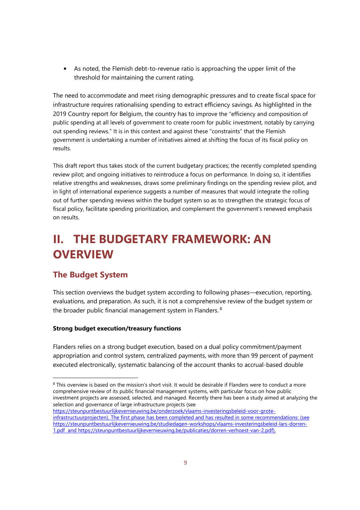• As noted, the Flemish debt-to-revenue ratio is approaching the upper limit of the threshold for maintaining the current rating.

The need to accommodate and meet rising demographic pressures and to create fiscal space for infrastructure requires rationalising spending to extract efficiency savings. As highlighted in the 2019 Country report for Belgium, the country has to improve the "efficiency and composition of public spending at all levels of government to create room for public investment, notably by carrying out spending reviews." It is in this context and against these "constraints" that the Flemish government is undertaking a number of initiatives aimed at shifting the focus of its fiscal policy on results.

This draft report thus takes stock of the current budgetary practices; the recently completed spending review pilot; and ongoing initiatives to reintroduce a focus on performance. In doing so, it identifies relative strengths and weaknesses, draws some preliminary findings on the spending review pilot, and in light of international experience suggests a number of measures that would integrate the rolling out of further spending reviews within the budget system so as to strengthen the strategic focus of fiscal policy, facilitate spending prioritization, and complement the government's renewed emphasis on results.

## **II. THE BUDGETARY FRAMEWORK: AN OVERVIEW**

## **The Budget System**

-

This section overviews the budget system according to following phases—execution, reporting, evaluations, and preparation. As such, it is not a comprehensive review of the budget system or the broader public financial management system in Flanders.  $8$ 

## **Strong budget execution/treasury functions**

Flanders relies on a strong budget execution, based on a dual policy commitment/payment appropriation and control system, centralized payments, with more than 99 percent of payment executed electronically, systematic balancing of the account thanks to accrual-based double

 $8$  This overview is based on the mission's short visit. It would be desirable if Flanders were to conduct a more comprehensive review of its public financial management systems, with particular focus on how public investment projects are assessed, selected, and managed. Recently there has been a study aimed at analyzing the selection and governance of large infrastructure projects (see

https://steunpuntbestuurlijkevernieuwing.be/onderzoek/vlaams-investeringsbeleid-voor-groteinfrastructuurprojecten). The first phase has been completed and has resulted in some recommendations: (see https://steunpuntbestuurlijkevernieuwing.be/studiedagen-workshops/vlaams-investeringsbeleid-lars-dorren-1.pdf and https://steunpuntbestuurlijkevernieuwing.be/publicaties/dorren-verhoest-van-2.pdf).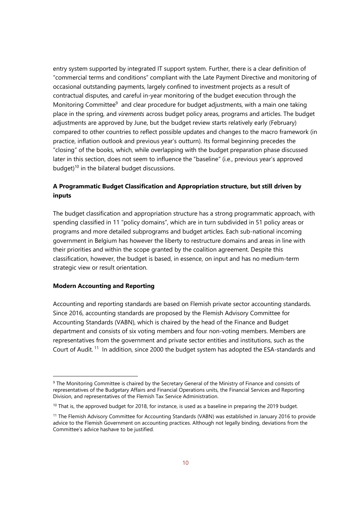entry system supported by integrated IT support system. Further, there is a clear definition of "commercial terms and conditions" compliant with the Late Payment Directive and monitoring of occasional outstanding payments, largely confined to investment projects as a result of contractual disputes, and careful in-year monitoring of the budget execution through the Monitoring Committee<sup>9</sup> and clear procedure for budget adjustments, with a main one taking place in the spring, and *virements* across budget policy areas, programs and articles. The budget adjustments are approved by June, but the budget review starts relatively early (February) compared to other countries to reflect possible updates and changes to the macro framework (in practice, inflation outlook and previous year's outturn). Its formal beginning precedes the "closing" of the books, which, while overlapping with the budget preparation phase discussed later in this section, does not seem to influence the "baseline" (i.e., previous year's approved budget)<sup>10</sup> in the bilateral budget discussions.

## **A Programmatic Budget Classification and Appropriation structure, but still driven by inputs**

The budget classification and appropriation structure has a strong programmatic approach, with spending classified in 11 "policy domains", which are in turn subdivided in 51 policy areas or programs and more detailed subprograms and budget articles. Each sub-national incoming government in Belgium has however the liberty to restructure domains and areas in line with their priorities and within the scope granted by the coalition agreement. Despite this classification, however, the budget is based, in essence, on input and has no medium-term strategic view or result orientation.

#### **Modern Accounting and Reporting**

-

Accounting and reporting standards are based on Flemish private sector accounting standards. Since 2016, accounting standards are proposed by the Flemish Advisory Committee for Accounting Standards (VABN), which is chaired by the head of the Finance and Budget department and consists of six voting members and four non-voting members. Members are representatives from the government and private sector entities and institutions, such as the Court of Audit.<sup>11</sup> In addition, since 2000 the budget system has adopted the ESA-standards and

<sup>&</sup>lt;sup>9</sup> The Monitoring Committee is chaired by the Secretary General of the Ministry of Finance and consists of representatives of the Budgetary Affairs and Financial Operations units, the Financial Services and Reporting Division, and representatives of the Flemish Tax Service Administration.

<sup>&</sup>lt;sup>10</sup> That is, the approved budget for 2018, for instance, is used as a baseline in preparing the 2019 budget.

<sup>&</sup>lt;sup>11</sup> The Flemish Advisory Committee for Accounting Standards (VABN) was established in January 2016 to provide advice to the Flemish Government on accounting practices. Although not legally binding, deviations from the Committee's advice hashave to be justified.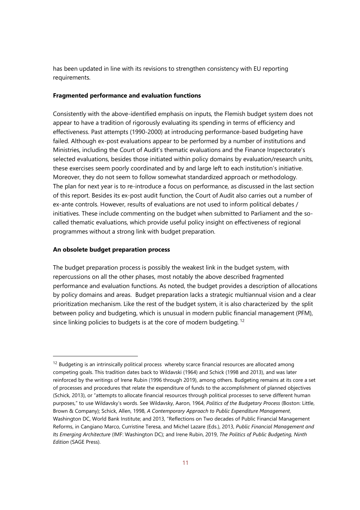has been updated in line with its revisions to strengthen consistency with EU reporting requirements.

### **Fragmented performance and evaluation functions**

Consistently with the above-identified emphasis on inputs, the Flemish budget system does not appear to have a tradition of rigorously evaluating its spending in terms of efficiency and effectiveness. Past attempts (1990-2000) at introducing performance-based budgeting have failed. Although ex-post evaluations appear to be performed by a number of institutions and Ministries, including the Court of Audit's thematic evaluations and the Finance Inspectorate's selected evaluations, besides those initiated within policy domains by evaluation/research units, these exercises seem poorly coordinated and by and large left to each institution's initiative. Moreover, they do not seem to follow somewhat standardized approach or methodology. The plan for next year is to re-introduce a focus on performance, as discussed in the last section of this report. Besides its ex-post audit function, the Court of Audit also carries out a number of ex-ante controls. However, results of evaluations are not used to inform political debates / initiatives. These include commenting on the budget when submitted to Parliament and the socalled thematic evaluations, which provide useful policy insight on effectiveness of regional programmes without a strong link with budget preparation.

#### **An obsolete budget preparation process**

-

The budget preparation process is possibly the weakest link in the budget system, with repercussions on all the other phases, most notably the above described fragmented performance and evaluation functions. As noted, the budget provides a description of allocations by policy domains and areas. Budget preparation lacks a strategic multiannual vision and a clear prioritization mechanism. Like the rest of the budget system, it is also characterized by the split between policy and budgeting, which is unusual in modern public financial management (PFM), since linking policies to budgets is at the core of modern budgeting.<sup>12</sup>

 $12$  Budgeting is an intrinsically political process whereby scarce financial resources are allocated among competing goals. This tradition dates back to Wildavski (1964) and Schick (1998 and 2013), and was later reinforced by the writings of Irene Rubin (1996 through 2019), among others. Budgeting remains at its core a set of processes and procedures that relate the expenditure of funds to the accomplishment of planned objectives (Schick, 2013), or "attempts to allocate financial resources through political processes to serve different human purposes," to use Wildavsky's words. See Wildavsky, Aaron, 1964, *Politics of the Budgetary Process* (Boston: Little, Brown & Company); Schick, Allen, 1998, *A Contemporary Approach to Public Expenditure Management*, Washington DC, World Bank Institute; and 2013, "Reflections on Two decades of Public Financial Management Reforms, in Cangiano Marco, Curristine Teresa, and Michel Lazare (Eds.), 2013, *Public Financial Management and Its Emerging Architecture* (IMF: Washington DC); and Irene Rubin, 2019, *The Politics of Public Budgeting, Ninth Edition* (SAGE Press).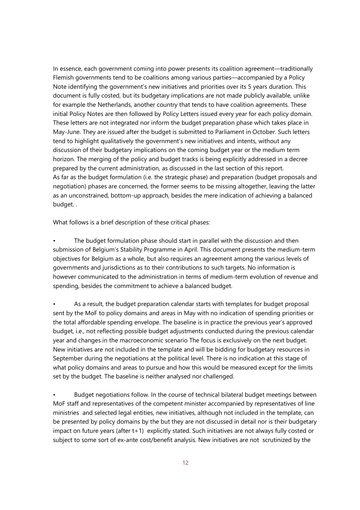In essence, each government coming into power presents its coalition agreement—traditionally Flemish governments tend to be coalitions among various parties—accompanied by a Policy Note identifying the government's new initiatives and priorities over its 5 years duration. This document is fully costed, but its budgetary implications are not made publicly available, unlike for example the Netherlands, another country that tends to have coalition agreements. These initial Policy Notes are then followed by Policy Letters issued every year for each policy domain. These letters are not integrated nor inform the budget preparation phase which takes place in May-June. They are issued after the budget is submitted to Parliament in October. Such letters tend to highlight qualitatively the government's new initiatives and intents, without any discussion of their budgetary implications on the coming budget year or the medium term horizon. The merging of the policy and budget tracks is being explicitly addressed in a decree prepared by the current administration, as discussed in the last section of this report. As far as the budget formulation (i.e. the strategic phase) and preparation (budget proposals and negotiation) phases are concerned, the former seems to be missing altogether, leaving the latter as an unconstrained, bottom-up approach, besides the mere indication of achieving a balanced budget. .

What follows is a brief description of these critical phases:

The budget formulation phase should start in parallel with the discussion and then submission of Belgium's Stability Programme in April. This document presents the medium-term objectives for Belgium as a whole, but also requires an agreement among the various levels of governments and jurisdictions as to their contributions to such targets. No information is however communicated to the administration in terms of medium-term evolution of revenue and spending, besides the commitment to achieve a balanced budget.

• As a result, the budget preparation calendar starts with templates for budget proposal sent by the MoF to policy domains and areas in May with no indication of spending priorities or the total affordable spending envelope. The baseline is in practice the previous year's approved budget, i.e., not reflecting possible budget adjustments conducted during the previous calendar year and changes in the macroeconomic scenario The focus is exclusively on the next budget. New initiatives are not included in the template and will be bidding for budgetary resources in September during the negotiations at the political level. There is no indication at this stage of what policy domains and areas to pursue and how this would be measured except for the limits set by the budget. The baseline is neither analysed nor challenged.

• Budget negotiations follow. In the course of technical bilateral budget meetings between MoF staff and representatives of the competent minister accompanied by representatives of line ministries and selected legal entities, new initiatives, although not included in the template, can be presented by policy domains by the but they are not discussed in detail nor is their budgetary impact on future years (after t+1) explicitly stated. Such initiatives are not always fully costed or subject to some sort of ex-ante cost/benefit analysis. New initiatives are not scrutinized by the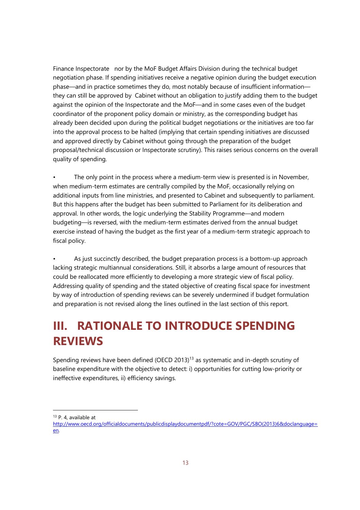Finance Inspectorate nor by the MoF Budget Affairs Division during the technical budget negotiation phase. If spending initiatives receive a negative opinion during the budget execution phase—and in practice sometimes they do, most notably because of insufficient information they can still be approved by Cabinet without an obligation to justify adding them to the budget against the opinion of the Inspectorate and the MoF—and in some cases even of the budget coordinator of the proponent policy domain or ministry, as the corresponding budget has already been decided upon during the political budget negotiations or the initiatives are too far into the approval process to be halted (implying that certain spending initiatives are discussed and approved directly by Cabinet without going through the preparation of the budget proposal/technical discussion or Inspectorate scrutiny). This raises serious concerns on the overall quality of spending.

The only point in the process where a medium-term view is presented is in November, when medium-term estimates are centrally compiled by the MoF, occasionally relying on additional inputs from line ministries, and presented to Cabinet and subsequently to parliament. But this happens after the budget has been submitted to Parliament for its deliberation and approval. In other words, the logic underlying the Stability Programme—and modern budgeting—is reversed, with the medium-term estimates derived from the annual budget exercise instead of having the budget as the first year of a medium-term strategic approach to fiscal policy.

As just succinctly described, the budget preparation process is a bottom-up approach lacking strategic multiannual considerations. Still, it absorbs a large amount of resources that could be reallocated more efficiently to developing a more strategic view of fiscal policy. Addressing quality of spending and the stated objective of creating fiscal space for investment by way of introduction of spending reviews can be severely undermined if budget formulation and preparation is not revised along the lines outlined in the last section of this report.

## **III. RATIONALE TO INTRODUCE SPENDING REVIEWS**

Spending reviews have been defined (OECD 2013)<sup>13</sup> as systematic and in-depth scrutiny of baseline expenditure with the objective to detect: i) opportunities for cutting low-priority or ineffective expenditures, ii) efficiency savings.

<sup>13</sup> P. 4, available at

http://www.oecd.org/officialdocuments/publicdisplaydocumentpdf/?cote=GOV/PGC/SBO(2013)6&doclanguage= en.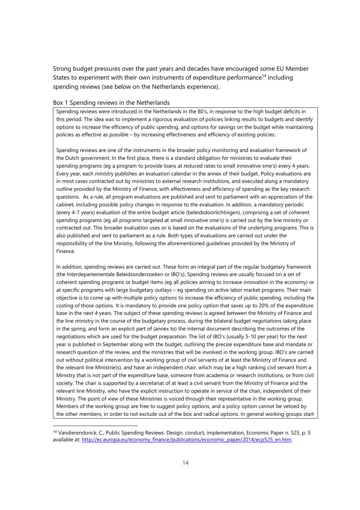Strong budget pressures over the past years and decades have encouraged some EU Member States to experiment with their own instruments of expenditure performance<sup>14</sup> including spending reviews (see below on the Netherlands experience).

#### Box 1 Spending reviews in the Netherlands

-

Spending reviews were introduced in the Netherlands in the 80's, in response to the high budget deficits in this period. The idea was to implement a rigorous evaluation of policies linking results to budgets and identify options to increase the efficiency of public spending, and options for savings on the budget while maintaining policies as effective as possible – by increasing effectiveness and efficiency of existing policies.

Spending reviews are one of the instruments in the broader policy monitoring and evaluation framework of the Dutch government. In the first place, there is a standard obligation for ministries to evaluate their spending programs (eg a program to provide loans at reduced rates to small innovative sme's) every 4 years. Every year, each ministry publishes an evaluation calendar in the annex of their budget. Policy evaluations are in most cases contracted out by ministries to external research institutions, and executed along a mandatory outline provided by the Ministry of Finance, with effectiveness and efficiency of spending as the key research questions. As a rule, all program evaluations are published and sent to parliament with an appreciation of the cabinet, including possible policy changes in response to the evaluation. In addition, a mandatory periodic (every 4-7 years) evaluation of the entire budget article (beleidsdoorlichtingen), comprising a set of coherent spending programs (eg all programs targeted at small innovative sme's) is carried out by the line ministry or contracted out. This broader evaluation uses or is based on the evaluations of the underlying programs. This is also published and sent to parliament as a rule. Both types of evaluations are carried out under the responsibility of the line Ministry, following the aforementioned guidelines provided by the Ministry of Finance.

In addition, spending reviews are carried out. These form an integral part of the regular budgetary framework (the Interdepartementale Beleidsonderzoeken or IBO's). Spending reviews are usually focused on a set of coherent spending programs or budget items (eg all policies aiming to increase innovation in the economy) or at specific programs with large budgetary outlays – eg spending on active labor market programs. Their main objective is to come up with multiple policy options to increase the efficiency of public spending, including the costing of those options. It is mandatory to provide one policy option that saves up to 20% of the expenditure base in the next 4 years. The subject of these spending reviews is agreed between the Ministry of Finance and the line ministry in the course of the budgetary process, during the bilateral budget negotiations taking place in the spring, and form an explicit part of (annex to) the internal document describing the outcomes of the negotiations which are used for the budget preparation. The list of IBO's (usually 5-10 per year) for the next year is published in September along with the budget, outlining the precise expenditure base and mandate or research question of the review, and the ministries that will be involved in the working group. IBO's are carried out without political intervention by a working group of civil servants of at least the Ministry of Finance and the relevant line Ministrie(s), and have an independent chair, which may be a high ranking civil servant from a Ministry that is not part of the expenditure base, someone from academia or research institutions, or from civil society. The chair is supported by a secretariat of at least a civil servant from the Ministry of Finance and the relevant line Ministry, who have the explicit instruction to operate in service of the chair, independent of their Ministry. The point of view of these Ministries is voiced through their representative in the working group. Members of the working group are free to suggest policy options, and a policy option cannot be vetoed by the other members, in order to not exclude out of the box and radical options. In general working groups start

<sup>14</sup> Vandierendonck, C., Public Spending Reviews: Design, conduct, implementation, Economic Paper n. 525, p. 5 available at: http://ec.europa.eu/economy\_finance/publications/economic\_paper/2014/ecp525\_en.htm.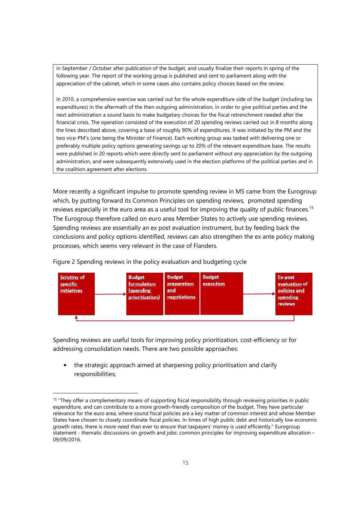in September / October after publication of the budget, and usually finalize their reports in spring of the following year. The report of the working group is published and sent to parliament along with the appreciation of the cabinet, which in some cases also contains policy choices based on the review.

In 2010, a comprehensive exercise was carried out for the whole expenditure side of the budget (including tax expenditures) in the aftermath of the then outgoing administration, in order to give political parties and the next administration a sound basis to make budgetary choices for the fiscal retrenchment needed after the financial crisis. The operation consisted of the execution of 20 spending reviews carried out in 8 months along the lines described above, covering a base of roughly 90% of expenditures. It was initiated by the PM and the two vice-PM's (one being the Minister of Finance). Each working group was tasked with delivering one or preferably multiple policy options generating savings up to 20% of the relevant expenditure base. The results were published in 20 reports which were directly sent to parliament without any appreciation by the outgoing administration, and were subsequently extensively used in the election platforms of the political parties and in the coalition agreement after elections.

More recently a significant impulse to promote spending review in MS came from the Eurogroup which, by putting forward its Common Principles on spending reviews, promoted spending reviews especially in the euro area as a useful tool for improving the quality of public finances.<sup>15</sup> The Eurogroup therefore called on euro area Member States to actively use spending reviews. Spending reviews are essentially an ex post evaluation instrument, but by feeding back the conclusions and policy options identified, reviews can also strengthen the ex ante policy making processes, which seems very relevant in the case of Flanders.



Figure 2 Spending reviews in the policy evaluation and budgeting cycle

Spending reviews are useful tools for improving policy prioritization, cost-efficiency or for addressing consolidation needs. There are two possible approaches:

• the strategic approach aimed at sharpening policy prioritisation and clarify responsibilities;

<sup>&</sup>lt;sup>15</sup> "They offer a complementary means of supporting fiscal responsibility through reviewing priorities in public expenditure, and can contribute to a more growth-friendly composition of the budget. They have particular relevance for the euro area, where sound fiscal policies are a key matter of common interest and whose Member States have chosen to closely coordinate fiscal policies. In times of high public debt and historically low economic growth rates, there is more need than ever to ensure that taxpayers' money is used efficiently." Eurogroup statement - thematic discussions on growth and jobs: common principles for improving expenditure allocation – 09/09/2016.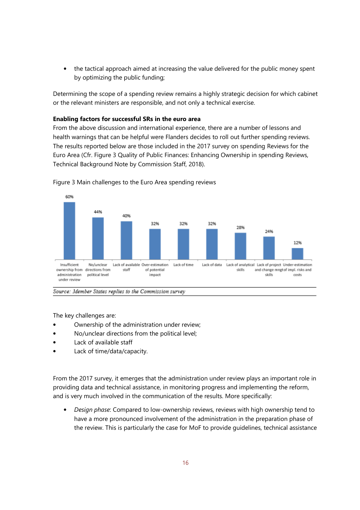• the tactical approach aimed at increasing the value delivered for the public money spent by optimizing the public funding;

Determining the scope of a spending review remains a highly strategic decision for which cabinet or the relevant ministers are responsible, and not only a technical exercise.

### **Enabling factors for successful SRs in the euro area**

From the above discussion and international experience, there are a number of lessons and health warnings that can be helpful were Flanders decides to roll out further spending reviews. The results reported below are those included in the 2017 survey on spending Reviews for the Euro Area (Cfr. Figure 3 Quality of Public Finances: Enhancing Ownership in spending Reviews, Technical Background Note by Commission Staff, 2018).



Figure 3 Main challenges to the Euro Area spending reviews

The key challenges are:

- Ownership of the administration under review;
- No/unclear directions from the political level;
- Lack of available staff
- Lack of time/data/capacity.

From the 2017 survey, it emerges that the administration under review plays an important role in providing data and technical assistance, in monitoring progress and implementing the reform, and is very much involved in the communication of the results. More specifically:

• *Design phase*: Compared to low-ownership reviews, reviews with high ownership tend to have a more pronounced involvement of the administration in the preparation phase of the review. This is particularly the case for MoF to provide guidelines, technical assistance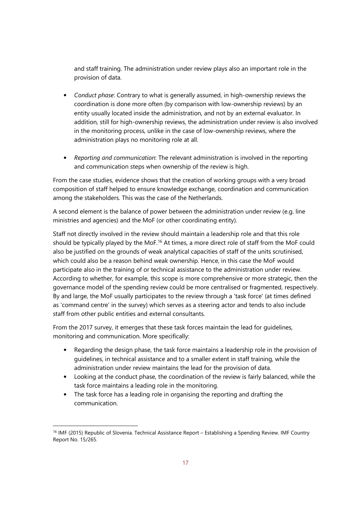and staff training. The administration under review plays also an important role in the provision of data.

- *Conduct phase*: Contrary to what is generally assumed, in high-ownership reviews the coordination is done more often (by comparison with low-ownership reviews) by an entity usually located inside the administration, and not by an external evaluator. In addition, still for high-ownership reviews, the administration under review is also involved in the monitoring process, unlike in the case of low-ownership reviews, where the administration plays no monitoring role at all.
- *Reporting and communication*: The relevant administration is involved in the reporting and communication steps when ownership of the review is high.

From the case studies, evidence shows that the creation of working groups with a very broad composition of staff helped to ensure knowledge exchange, coordination and communication among the stakeholders. This was the case of the Netherlands.

A second element is the balance of power between the administration under review (e.g. line ministries and agencies) and the MoF (or other coordinating entity).

Staff not directly involved in the review should maintain a leadership role and that this role should be typically played by the MoF.<sup>16</sup> At times, a more direct role of staff from the MoF could also be justified on the grounds of weak analytical capacities of staff of the units scrutinised, which could also be a reason behind weak ownership. Hence, in this case the MoF would participate also in the training of or technical assistance to the administration under review. According to whether, for example, this scope is more comprehensive or more strategic, then the governance model of the spending review could be more centralised or fragmented, respectively. By and large, the MoF usually participates to the review through a 'task force' (at times defined as 'command centre' in the survey) which serves as a steering actor and tends to also include staff from other public entities and external consultants.

From the 2017 survey, it emerges that these task forces maintain the lead for guidelines, monitoring and communication. More specifically:

- Regarding the design phase, the task force maintains a leadership role in the provision of guidelines, in technical assistance and to a smaller extent in staff training, while the administration under review maintains the lead for the provision of data.
- Looking at the conduct phase, the coordination of the review is fairly balanced, while the task force maintains a leading role in the monitoring.
- The task force has a leading role in organising the reporting and drafting the communication.

<sup>16</sup> IMF (2015) Republic of Slovenia. Technical Assistance Report – Establishing a Spending Review. IMF Country Report No. 15/265.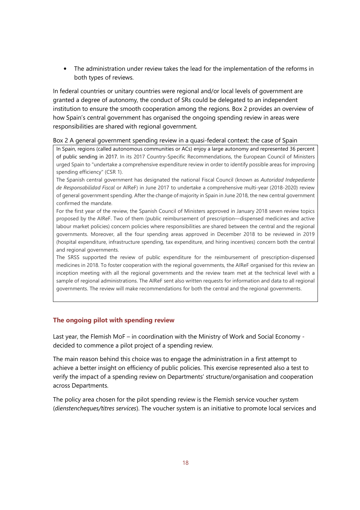• The administration under review takes the lead for the implementation of the reforms in both types of reviews.

In federal countries or unitary countries were regional and/or local levels of government are granted a degree of autonomy, the conduct of SRs could be delegated to an independent institution to ensure the smooth cooperation among the regions. Box 2 provides an overview of how Spain's central government has organised the ongoing spending review in areas were responsibilities are shared with regional government.

#### Box 2 A general government spending review in a quasi-federal context: the case of Spain

In Spain, regions (called autonomous communities or ACs) enjoy a large autonomy and represented 36 percent of public sending in 2017. In its 2017 Country-Specific Recommendations, the European Council of Ministers urged Spain to "undertake a comprehensive expenditure review in order to identify possible areas for improving spending efficiency" (CSR 1).

The Spanish central government has designated the national Fiscal Council (known as *Autoridad Indepediente de Responsabilidad Fiscal* or AIReF) in June 2017 to undertake a comprehensive multi-year (2018-2020) review of general government spending. After the change of majority in Spain in June 2018, the new central government confirmed the mandate.

For the first year of the review, the Spanish Council of Ministers approved in January 2018 seven review topics proposed by the AIReF. Two of them (public reimbursement of prescription—dispensed medicines and active labour market policies) concern policies where responsibilities are shared between the central and the regional governments. Moreover, all the four spending areas approved in December 2018 to be reviewed in 2019 (hospital expenditure, infrastructure spending, tax expenditure, and hiring incentives) concern both the central and regional governments.

The SRSS supported the review of public expenditure for the reimbursement of prescription-dispensed medicines in 2018. To foster cooperation with the regional governments, the AIReF organised for this review an inception meeting with all the regional governments and the review team met at the technical level with a sample of regional administrations. The AIReF sent also written requests for information and data to all regional governments. The review will make recommendations for both the central and the regional governments.

### **The ongoing pilot with spending review**

Last year, the Flemish MoF – in coordination with the Ministry of Work and Social Economy decided to commence a pilot project of a spending review.

The main reason behind this choice was to engage the administration in a first attempt to achieve a better insight on efficiency of public policies. This exercise represented also a test to verify the impact of a spending review on Departments' structure/organisation and cooperation across Departments.

The policy area chosen for the pilot spending review is the Flemish service voucher system (*dienstencheques/titres services*). The voucher system is an initiative to promote local services and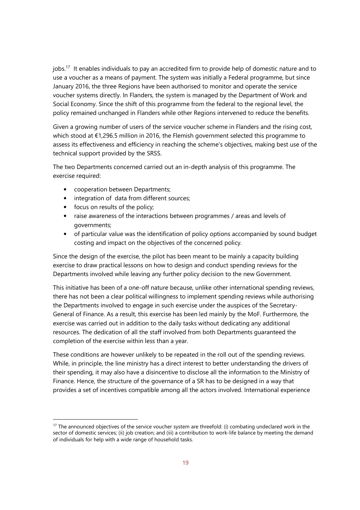jobs.<sup>17</sup> It enables individuals to pay an accredited firm to provide help of domestic nature and to use a voucher as a means of payment. The system was initially a Federal programme, but since January 2016, the three Regions have been authorised to monitor and operate the service voucher systems directly. In Flanders, the system is managed by the Department of Work and Social Economy. Since the shift of this programme from the federal to the regional level, the policy remained unchanged in Flanders while other Regions intervened to reduce the benefits.

Given a growing number of users of the service voucher scheme in Flanders and the rising cost, which stood at €1,296.5 million in 2016, the Flemish government selected this programme to assess its effectiveness and efficiency in reaching the scheme's objectives, making best use of the technical support provided by the SRSS.

The two Departments concerned carried out an in-depth analysis of this programme. The exercise required:

- cooperation between Departments;
- integration of data from different sources;
- focus on results of the policy;

-

- raise awareness of the interactions between programmes / areas and levels of governments;
- of particular value was the identification of policy options accompanied by sound budget costing and impact on the objectives of the concerned policy.

Since the design of the exercise, the pilot has been meant to be mainly a capacity building exercise to draw practical lessons on how to design and conduct spending reviews for the Departments involved while leaving any further policy decision to the new Government.

This initiative has been of a one-off nature because, unlike other international spending reviews, there has not been a clear political willingness to implement spending reviews while authorising the Departments involved to engage in such exercise under the auspices of the Secretary-General of Finance. As a result, this exercise has been led mainly by the MoF. Furthermore, the exercise was carried out in addition to the daily tasks without dedicating any additional resources. The dedication of all the staff involved from both Departments guaranteed the completion of the exercise within less than a year.

These conditions are however unlikely to be repeated in the roll out of the spending reviews. While, in principle, the line ministry has a direct interest to better understanding the drivers of their spending, it may also have a disincentive to disclose all the information to the Ministry of Finance. Hence, the structure of the governance of a SR has to be designed in a way that provides a set of incentives compatible among all the actors involved. International experience

<sup>&</sup>lt;sup>17</sup> The announced objectives of the service voucher system are threefold: (i) combating undeclared work in the sector of domestic services; (ii) job creation; and (iii) a contribution to work-life balance by meeting the demand of individuals for help with a wide range of household tasks.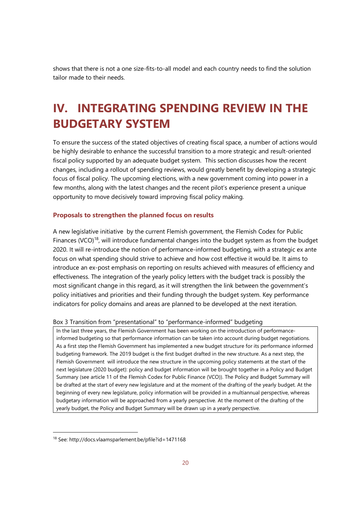shows that there is not a one size-fits-to-all model and each country needs to find the solution tailor made to their needs.

## **IV. INTEGRATING SPENDING REVIEW IN THE BUDGETARY SYSTEM**

To ensure the success of the stated objectives of creating fiscal space, a number of actions would be highly desirable to enhance the successful transition to a more strategic and result-oriented fiscal policy supported by an adequate budget system. This section discusses how the recent changes, including a rollout of spending reviews, would greatly benefit by developing a strategic focus of fiscal policy. The upcoming elections, with a new government coming into power in a few months, along with the latest changes and the recent pilot's experience present a unique opportunity to move decisively toward improving fiscal policy making.

### **Proposals to strengthen the planned focus on results**

A new legislative initiative by the current Flemish government, the Flemish Codex for Public Finances (VCO)<sup>18</sup>, will introduce fundamental changes into the budget system as from the budget 2020. It will re-introduce the notion of performance-informed budgeting, with a strategic ex ante focus on what spending should strive to achieve and how cost effective it would be. It aims to introduce an ex-post emphasis on reporting on results achieved with measures of efficiency and effectiveness. The integration of the yearly policy letters with the budget track is possibly the most significant change in this regard, as it will strengthen the link between the government's policy initiatives and priorities and their funding through the budget system. Key performance indicators for policy domains and areas are planned to be developed at the next iteration.

#### Box 3 Transition from "presentational" to "performance-informed" budgeting

In the last three years, the Flemish Government has been working on the introduction of performanceinformed budgeting so that performance information can be taken into account during budget negotiations. As a first step the Flemish Government has implemented a new budget structure for its performance informed budgeting framework. The 2019 budget is the first budget drafted in the new structure. As a next step, the Flemish Government will introduce the new structure in the upcoming policy statements at the start of the next legislature (2020 budget): policy and budget information will be brought together in a Policy and Budget Summary (see article 11 of the Flemish Codex for Public Finance (VCO)). The Policy and Budget Summary will be drafted at the start of every new legislature and at the moment of the drafting of the yearly budget. At the beginning of every new legislature, policy information will be provided in a multiannual perspective, whereas budgetary information will be approached from a yearly perspective. At the moment of the drafting of the yearly budget, the Policy and Budget Summary will be drawn up in a yearly perspective.

<sup>18</sup> See: http://docs.vlaamsparlement.be/pfile?id=1471168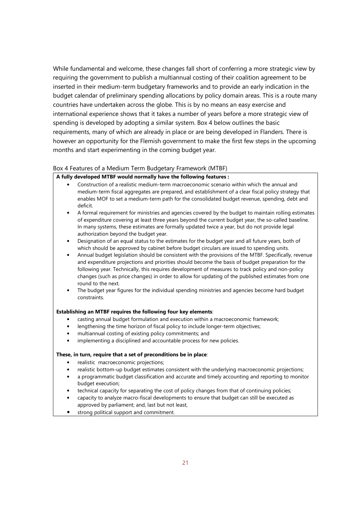While fundamental and welcome, these changes fall short of conferring a more strategic view by requiring the government to publish a multiannual costing of their coalition agreement to be inserted in their medium-term budgetary frameworks and to provide an early indication in the budget calendar of preliminary spending allocations by policy domain areas. This is a route many countries have undertaken across the globe. This is by no means an easy exercise and international experience shows that it takes a number of years before a more strategic view of spending is developed by adopting a similar system. Box 4 below outlines the basic requirements, many of which are already in place or are being developed in Flanders. There is however an opportunity for the Flemish government to make the first few steps in the upcoming months and start experimenting in the coming budget year.

#### Box 4 Features of a Medium Term Budgetary Framework (MTBF)

### **A fully developed MTBF would normally have the following features :**

- Construction of a realistic medium-term macroeconomic scenario within which the annual and medium-term fiscal aggregates are prepared, and establishment of a clear fiscal policy strategy that enables MOF to set a medium-term path for the consolidated budget revenue, spending, debt and deficit.
- A formal requirement for ministries and agencies covered by the budget to maintain rolling estimates of expenditure covering at least three years beyond the current budget year, the so-called baseline. In many systems, these estimates are formally updated twice a year, but do not provide legal authorization beyond the budget year.
- Designation of an equal status to the estimates for the budget year and all future years, both of which should be approved by cabinet before budget circulars are issued to spending units.
- Annual budget legislation should be consistent with the provisions of the MTBF. Specifically, revenue and expenditure projections and priorities should become the basis of budget preparation for the following year. Technically, this requires development of measures to track policy and non-policy changes (such as price changes) in order to allow for updating of the published estimates from one round to the next.
- The budget year figures for the individual spending ministries and agencies become hard budget constraints.

#### **Establishing an MTBF requires the following four key elements**:

- casting annual budget formulation and execution within a macroeconomic framework;
- lengthening the time horizon of fiscal policy to include longer-term objectives;
- multiannual costing of existing policy commitments; and
- implementing a disciplined and accountable process for new policies.

#### **These, in turn, require that a set of preconditions be in place**:

- realistic macroeconomic projections;
- realistic bottom-up budget estimates consistent with the underlying macroeconomic projections;
- a programmatic budget classification and accurate and timely accounting and reporting to monitor budget execution;
- technical capacity for separating the cost of policy changes from that of continuing policies;
- capacity to analyze macro-fiscal developments to ensure that budget can still be executed as approved by parliament; and, last but not least,
- strong political support and commitment.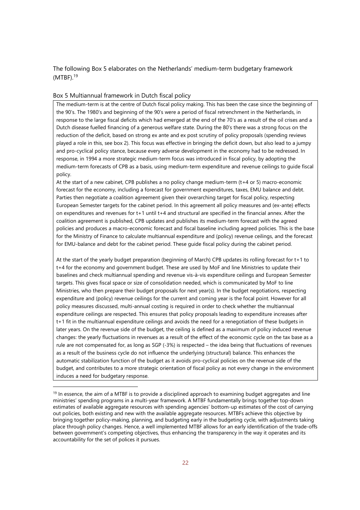The following Box 5 elaborates on the Netherlands' medium-term budgetary framework  $(MTBF).<sup>19</sup>$ 

#### Box 5 Multiannual framework in Dutch fiscal policy

-

The medium-term is at the centre of Dutch fiscal policy making. This has been the case since the beginning of the 90's. The 1980's and beginning of the 90's were a period of fiscal retrenchment in the Netherlands, in response to the large fiscal deficits which had emerged at the end of the 70's as a result of the oil crises and a Dutch disease fuelled financing of a generous welfare state. During the 80's there was a strong focus on the reduction of the deficit, based on strong ex ante and ex post scrutiny of policy proposals (spending reviews played a role in this, see box 2). This focus was effective in bringing the deficit down, but also lead to a jumpy and pro-cyclical policy stance, because every adverse development in the economy had to be redressed. In response, in 1994 a more strategic medium-term focus was introduced in fiscal policy, by adopting the medium-term forecasts of CPB as a basis, using medium-term expenditure and revenue ceilings to guide fiscal policy.

At the start of a new cabinet, CPB publishes a no policy change medium-term (t+4 or 5) macro-economic forecast for the economy, including a forecast for government expenditures, taxes, EMU balance and debt. Parties then negotiate a coalition agreement given their overarching target for fiscal policy, respecting European Semester targets for the cabinet period. In this agreement all policy measures and (ex-ante) effects on expenditures and revenues for t+1 until t+4 and structural are specified in the financial annex. After the coalition agreement is published, CPB updates and publishes its medium-term forecast with the agreed policies and produces a macro-economic forecast and fiscal baseline including agreed policies. This is the base for the Ministry of Finance to calculate multiannual expenditure and (policy) revenue ceilings, and the forecast for EMU-balance and debt for the cabinet period. These guide fiscal policy during the cabinet period.

At the start of the yearly budget preparation (beginning of March) CPB updates its rolling forecast for t+1 to t+4 for the economy and government budget. These are used by MoF and line Ministries to update their baselines and check multiannual spending and revenue vis-à-vis expenditure ceilings and European Semester targets. This gives fiscal space or size of consolidation needed, which is communicated by MoF to line Ministries, who then prepare their budget proposals for next year(s). In the budget negotiations, respecting expenditure and (policy) revenue ceilings for the current and coming year is the focal point. However for all policy measures discussed, multi-annual costing is required in order to check whether the multiannual expenditure ceilings are respected. This ensures that policy proposals leading to expenditure increases after t+1 fit in the multiannual expenditure ceilings and avoids the need for a renegotiation of these budgets in later years. On the revenue side of the budget, the ceiling is defined as a maximum of policy induced revenue changes: the yearly fluctuations in revenues as a result of the effect of the economic cycle on the tax base as a rule are not compensated for, as long as SGP (-3%) is respected – the idea being that fluctuations of revenues as a result of the business cycle do not influence the underlying (structural) balance. This enhances the automatic stabilization function of the budget as it avoids pro-cyclical policies on the revenue side of the budget, and contributes to a more strategic orientation of fiscal policy as not every change in the environment induces a need for budgetary response.

 $19$  In essence, the aim of a MTBF is to provide a disciplined approach to examining budget aggregates and line ministries' spending programs in a multi-year framework. A MTBF fundamentally brings together top-down estimates of available aggregate resources with spending agencies' bottom-up estimates of the cost of carrying out policies, both existing and new with the available aggregate resources. MTBFs achieve this objective by bringing together policy-making, planning, and budgeting early in the budgeting cycle, with adjustments taking place through policy changes. Hence, a well implemented MTBF allows for an early identification of the trade-offs between government's competing objectives, thus enhancing the transparency in the way it operates and its accountability for the set of polices it pursues.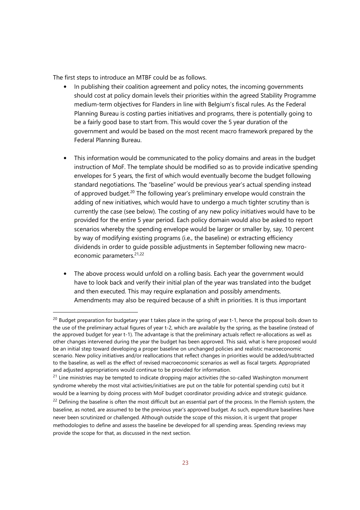The first steps to introduce an MTBF could be as follows.

- In publishing their coalition agreement and policy notes, the incoming governments should cost at policy domain levels their priorities within the agreed Stability Programme medium-term objectives for Flanders in line with Belgium's fiscal rules. As the Federal Planning Bureau is costing parties initiatives and programs, there is potentially going to be a fairly good base to start from. This would cover the 5 year duration of the government and would be based on the most recent macro framework prepared by the Federal Planning Bureau.
- This information would be communicated to the policy domains and areas in the budget instruction of MoF. The template should be modified so as to provide indicative spending envelopes for 5 years, the first of which would eventually become the budget following standard negotiations. The "baseline" would be previous year's actual spending instead of approved budget.<sup>20</sup> The following year's preliminary envelope would constrain the adding of new initiatives, which would have to undergo a much tighter scrutiny than is currently the case (see below). The costing of any new policy initiatives would have to be provided for the entire 5 year period. Each policy domain would also be asked to report scenarios whereby the spending envelope would be larger or smaller by, say, 10 percent by way of modifying existing programs (i.e., the baseline) or extracting efficiency dividends in order to guide possible adjustments in September following new macroeconomic parameters.<sup>21,22</sup>
- The above process would unfold on a rolling basis. Each year the government would have to look back and verify their initial plan of the year was translated into the budget and then executed. This may require explanation and possibly amendments. Amendments may also be required because of a shift in priorities. It is thus important

<sup>&</sup>lt;sup>20</sup> Budget preparation for budgetary year t takes place in the spring of year t-1, hence the proposal boils down to the use of the preliminary actual figures of year t-2, which are available by the spring, as the baseline (instead of the approved budget for year t-1). The advantage is that the preliminary actuals reflect re-allocations as well as other changes intervened during the year the budget has been approved. This said, what is here proposed would be an initial step toward developing a proper baseline on unchanged policies and realistic macroeconomic scenario. New policy initiatives and/or reallocations that reflect changes in priorities would be added/subtracted to the baseline, as well as the effect of revised macroeconomic scenarios as well as fiscal targets. Appropriated and adjusted appropriations would continue to be provided for information.

<sup>&</sup>lt;sup>21</sup> Line ministries may be tempted to indicate dropping major activities (the so-called Washington monument syndrome whereby the most vital activities/initiatives are put on the table for potential spending cuts) but it would be a learning by doing process with MoF budget coordinator providing advice and strategic guidance.  $22$  Defining the baseline is often the most difficult but an essential part of the process. In the Flemish system, the baseline, as noted, are assumed to be the previous year's approved budget. As such, expenditure baselines have never been scrutinized or challenged. Although outside the scope of this mission, it is urgent that proper methodologies to define and assess the baseline be developed for all spending areas. Spending reviews may provide the scope for that, as discussed in the next section.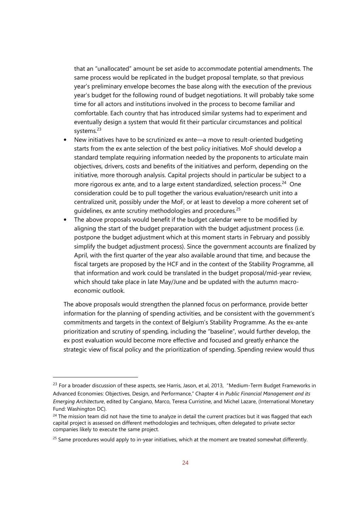that an "unallocated" amount be set aside to accommodate potential amendments. The same process would be replicated in the budget proposal template, so that previous year's preliminary envelope becomes the base along with the execution of the previous year's budget for the following round of budget negotiations. It will probably take some time for all actors and institutions involved in the process to become familiar and comfortable. Each country that has introduced similar systems had to experiment and eventually design a system that would fit their particular circumstances and political systems.<sup>23</sup>

- New initiatives have to be scrutinized ex ante—a move to result-oriented budgeting starts from the ex ante selection of the best policy initiatives. MoF should develop a standard template requiring information needed by the proponents to articulate main objectives, drivers, costs and benefits of the initiatives and perform, depending on the initiative, more thorough analysis. Capital projects should in particular be subject to a more rigorous ex ante, and to a large extent standardized, selection process.<sup>24</sup> One consideration could be to pull together the various evaluation/research unit into a centralized unit, possibly under the MoF, or at least to develop a more coherent set of guidelines, ex ante scrutiny methodologies and procedures.<sup>25</sup>
- The above proposals would benefit if the budget calendar were to be modified by aligning the start of the budget preparation with the budget adjustment process (i.e. postpone the budget adjustment which at this moment starts in February and possibly simplify the budget adjustment process). Since the government accounts are finalized by April, with the first quarter of the year also available around that time, and because the fiscal targets are proposed by the HCF and in the context of the Stability Programme, all that information and work could be translated in the budget proposal/mid-year review, which should take place in late May/June and be updated with the autumn macroeconomic outlook.

The above proposals would strengthen the planned focus on performance, provide better information for the planning of spending activities, and be consistent with the government's commitments and targets in the context of Belgium's Stability Programme. As the ex-ante prioritization and scrutiny of spending, including the "baseline", would further develop, the ex post evaluation would become more effective and focused and greatly enhance the strategic view of fiscal policy and the prioritization of spending. Spending review would thus

<sup>&</sup>lt;sup>23</sup> For a broader discussion of these aspects, see Harris, Jason, et al, 2013, "Medium-Term Budget Frameworks in Advanced Economies: Objectives, Design, and Performance," Chapter 4 in *Public Financial Management and its Emerging Architecture*, edited by Cangiano, Marco, Teresa Curristine, and Michel Lazare, (International Monetary Fund: Washington DC).

 $24$  The mission team did not have the time to analyze in detail the current practices but it was flagged that each capital project is assessed on different methodologies and techniques, often delegated to private sector companies likely to execute the same project.

 $25$  Same procedures would apply to in-year initiatives, which at the moment are treated somewhat differently.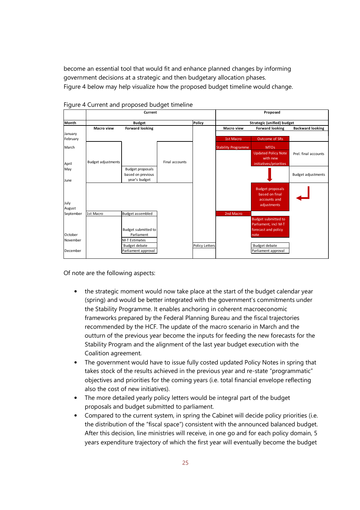become an essential tool that would fit and enhance planned changes by informing government decisions at a strategic and then budgetary allocation phases. Figure 4 below may help visualize how the proposed budget timeline would change.



Figure 4 Current and proposed budget timeline

Of note are the following aspects:

- the strategic moment would now take place at the start of the budget calendar year (spring) and would be better integrated with the government's commitments under the Stability Programme. It enables anchoring in coherent macroeconomic frameworks prepared by the Federal Planning Bureau and the fiscal trajectories recommended by the HCF. The update of the macro scenario in March and the outturn of the previous year become the inputs for feeding the new forecasts for the Stability Program and the alignment of the last year budget execution with the Coalition agreement.
- The government would have to issue fully costed updated Policy Notes in spring that takes stock of the results achieved in the previous year and re-state "programmatic" objectives and priorities for the coming years (i.e. total financial envelope reflecting also the cost of new initiatives).
- The more detailed yearly policy letters would be integral part of the budget proposals and budget submitted to parliament.
- Compared to the current system, in spring the Cabinet will decide policy priorities (i.e. the distribution of the "fiscal space") consistent with the announced balanced budget. After this decision, line ministries will receive, in one go and for each policy domain, 5 years expenditure trajectory of which the first year will eventually become the budget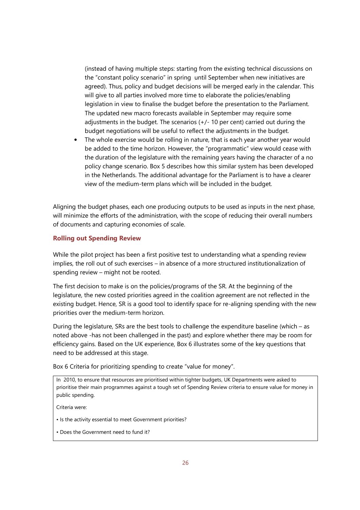(instead of having multiple steps: starting from the existing technical discussions on the "constant policy scenario" in spring until September when new initiatives are agreed). Thus, policy and budget decisions will be merged early in the calendar. This will give to all parties involved more time to elaborate the policies/enabling legislation in view to finalise the budget before the presentation to the Parliament. The updated new macro forecasts available in September may require some adjustments in the budget. The scenarios (+/- 10 per cent) carried out during the budget negotiations will be useful to reflect the adjustments in the budget.

• The whole exercise would be rolling in nature, that is each year another year would be added to the time horizon. However, the "programmatic" view would cease with the duration of the legislature with the remaining years having the character of a no policy change scenario. Box 5 describes how this similar system has been developed in the Netherlands. The additional advantage for the Parliament is to have a clearer view of the medium-term plans which will be included in the budget.

Aligning the budget phases, each one producing outputs to be used as inputs in the next phase, will minimize the efforts of the administration, with the scope of reducing their overall numbers of documents and capturing economies of scale.

### **Rolling out Spending Review**

While the pilot project has been a first positive test to understanding what a spending review implies, the roll out of such exercises – in absence of a more structured institutionalization of spending review – might not be rooted.

The first decision to make is on the policies/programs of the SR. At the beginning of the legislature, the new costed priorities agreed in the coalition agreement are not reflected in the existing budget. Hence, SR is a good tool to identify space for re-aligning spending with the new priorities over the medium-term horizon.

During the legislature, SRs are the best tools to challenge the expenditure baseline (which – as noted above -has not been challenged in the past) and explore whether there may be room for efficiency gains. Based on the UK experience, Box 6 illustrates some of the key questions that need to be addressed at this stage.

Box 6 Criteria for prioritizing spending to create "value for money".

In 2010, to ensure that resources are prioritised within tighter budgets, UK Departments were asked to prioritise their main programmes against a tough set of Spending Review criteria to ensure value for money in public spending.

Criteria were:

- Is the activity essential to meet Government priorities?
- Does the Government need to fund it?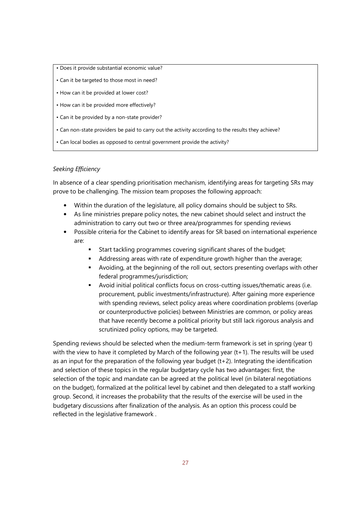- Does it provide substantial economic value?
- Can it be targeted to those most in need?
- How can it be provided at lower cost?
- How can it be provided more effectively?
- Can it be provided by a non-state provider?
- Can non-state providers be paid to carry out the activity according to the results they achieve?
- Can local bodies as opposed to central government provide the activity?

### *Seeking Efficiency*

In absence of a clear spending prioritisation mechanism, identifying areas for targeting SRs may prove to be challenging. The mission team proposes the following approach:

- Within the duration of the legislature, all policy domains should be subject to SRs.
- As line ministries prepare policy notes, the new cabinet should select and instruct the administration to carry out two or three area/programmes for spending reviews
- Possible criteria for the Cabinet to identify areas for SR based on international experience are:
	- Start tackling programmes covering significant shares of the budget;
	- Addressing areas with rate of expenditure growth higher than the average;
	- Avoiding, at the beginning of the roll out, sectors presenting overlaps with other federal programmes/jurisdiction;
	- Avoid initial political conflicts focus on cross-cutting issues/thematic areas (i.e. procurement, public investments/infrastructure). After gaining more experience with spending reviews, select policy areas where coordination problems (overlap or counterproductive policies) between Ministries are common, or policy areas that have recently become a political priority but still lack rigorous analysis and scrutinized policy options, may be targeted.

Spending reviews should be selected when the medium-term framework is set in spring (year t) with the view to have it completed by March of the following year (t+1). The results will be used as an input for the preparation of the following year budget (t+2). Integrating the identification and selection of these topics in the regular budgetary cycle has two advantages: first, the selection of the topic and mandate can be agreed at the political level (in bilateral negotiations on the budget), formalized at the political level by cabinet and then delegated to a staff working group. Second, it increases the probability that the results of the exercise will be used in the budgetary discussions after finalization of the analysis. As an option this process could be reflected in the legislative framework .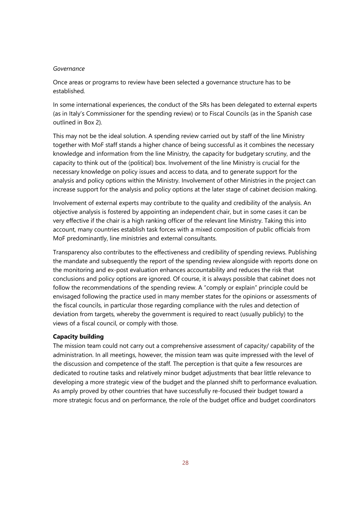#### *Governance*

Once areas or programs to review have been selected a governance structure has to be established.

In some international experiences, the conduct of the SRs has been delegated to external experts (as in Italy's Commissioner for the spending review) or to Fiscal Councils (as in the Spanish case outlined in Box 2).

This may not be the ideal solution. A spending review carried out by staff of the line Ministry together with MoF staff stands a higher chance of being successful as it combines the necessary knowledge and information from the line Ministry, the capacity for budgetary scrutiny, and the capacity to think out of the (political) box. Involvement of the line Ministry is crucial for the necessary knowledge on policy issues and access to data, and to generate support for the analysis and policy options within the Ministry. Involvement of other Ministries in the project can increase support for the analysis and policy options at the later stage of cabinet decision making.

Involvement of external experts may contribute to the quality and credibility of the analysis. An objective analysis is fostered by appointing an independent chair, but in some cases it can be very effective if the chair is a high ranking officer of the relevant line Ministry. Taking this into account, many countries establish task forces with a mixed composition of public officials from MoF predominantly, line ministries and external consultants.

Transparency also contributes to the effectiveness and credibility of spending reviews. Publishing the mandate and subsequently the report of the spending review alongside with reports done on the monitoring and ex-post evaluation enhances accountability and reduces the risk that conclusions and policy options are ignored. Of course, it is always possible that cabinet does not follow the recommendations of the spending review. A "comply or explain" principle could be envisaged following the practice used in many member states for the opinions or assessments of the fiscal councils, in particular those regarding compliance with the rules and detection of deviation from targets, whereby the government is required to react (usually publicly) to the views of a fiscal council, or comply with those.

#### **Capacity building**

The mission team could not carry out a comprehensive assessment of capacity/ capability of the administration. In all meetings, however, the mission team was quite impressed with the level of the discussion and competence of the staff. The perception is that quite a few resources are dedicated to routine tasks and relatively minor budget adjustments that bear little relevance to developing a more strategic view of the budget and the planned shift to performance evaluation. As amply proved by other countries that have successfully re-focused their budget toward a more strategic focus and on performance, the role of the budget office and budget coordinators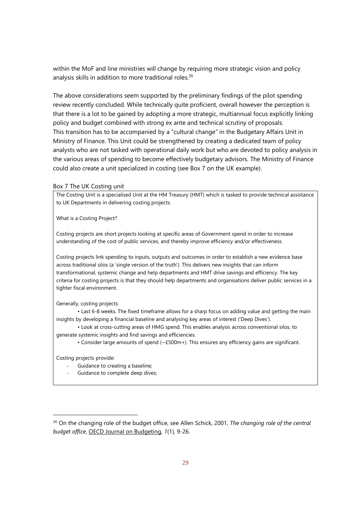within the MoF and line ministries will change by requiring more strategic vision and policy analysis skills in addition to more traditional roles.<sup>26</sup>

The above considerations seem supported by the preliminary findings of the pilot spending review recently concluded. While technically quite proficient, overall however the perception is that there is a lot to be gained by adopting a more strategic, multiannual focus explicitly linking policy and budget combined with strong ex ante and technical scrutiny of proposals. This transition has to be accompanied by a "cultural change" in the Budgetary Affairs Unit in Ministry of Finance. This Unit could be strengthened by creating a dedicated team of policy analysts who are not tasked with operational daily work but who are devoted to policy analysis in the various areas of spending to become effectively budgetary advisors. The Ministry of Finance could also create a unit specialized in costing (see Box 7 on the UK example).

#### Box 7 The UK Costing unit

The Costing Unit is a specialised Unit at the HM Treasury (HMT) which is tasked to provide technical assistance to UK Departments in delivering costing projects.

What is a Costing Project?

Costing projects are short projects looking at specific areas of Government spend in order to increase understanding of the cost of public services, and thereby improve efficiency and/or effectiveness.

Costing projects link spending to inputs, outputs and outcomes in order to establish a new evidence base across traditional silos (a 'single version of the truth'). This delivers new insights that can inform transformational, systemic change and help departments and HMT drive savings and efficiency. The key criteria for costing projects is that they should help departments and organisations deliver public services in a tighter fiscal environment.

Generally, costing projects:

• Last 6-8 weeks. The fixed timeframe allows for a sharp focus on adding value and getting the main insights by developing a financial baseline and analysing key areas of interest ('Deep Dives').

• Look at cross-cutting areas of HMG spend. This enables analysis across conventional silos, to generate systemic insights and find savings and efficiencies.

• Consider large amounts of spend (~£500m+). This ensures any efficiency gains are significant.

Costing projects provide:

- Guidance to creating a baseline;
- Guidance to complete deep dives;

<sup>26</sup> On the changing role of the budget office, see Allen Schick, 2001, *The changing role of the central budget office*, OECD Journal on Budgeting, *1*(1), 9-26.